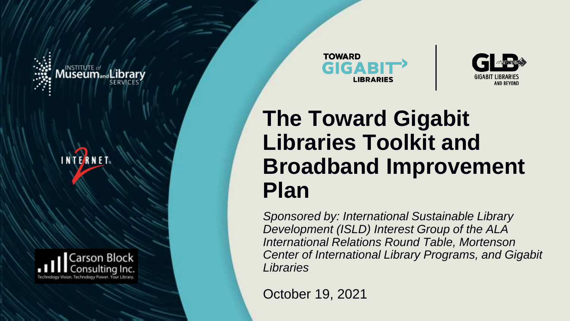









#### **The Toward Gigabit Libraries Toolkit and Broadband Improvement Plan**

*Sponsored by: International Sustainable Library Development (ISLD) Interest Group of the ALA International Relations Round Table, Mortenson Center of International Library Programs, and Gigabit Libraries*

**[ 1 ]** October 19, 2021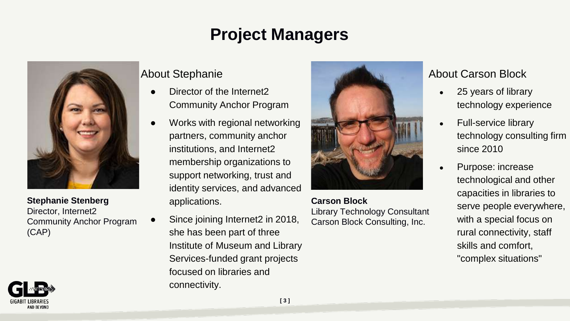#### **Project Managers**



**Stephanie Stenberg** Director, Internet2 Community Anchor Program (CAP)



#### About Stephanie

- Director of the Internet2 Community Anchor Program
- Works with regional networking partners, community anchor institutions, and Internet2 membership organizations to support networking, trust and identity services, and advanced applications.
- Since joining Internet2 in 2018, she has been part of three Institute of Museum and Library Services-funded grant projects focused on libraries and connectivity.



**Carson Block** Library Technology Consultant Carson Block Consulting, Inc.

#### About Carson Block

- 25 years of library technology experience
- **Full-service library** technology consulting firm since 2010
- Purpose: increase technological and other capacities in libraries to serve people everywhere, with a special focus on rural connectivity, staff skills and comfort, "complex situations"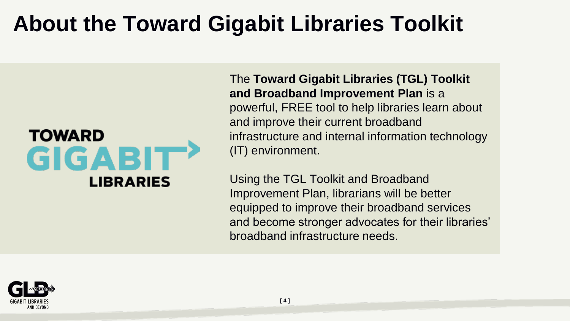#### **About the Toward Gigabit Libraries Toolkit**



The **Toward Gigabit Libraries (TGL) Toolkit and Broadband Improvement Plan** is a powerful, FREE tool to help libraries learn about and improve their current broadband infrastructure and internal information technology (IT) environment.

Using the TGL Toolkit and Broadband Improvement Plan, librarians will be better equipped to improve their broadband services and become stronger advocates for their libraries' broadband infrastructure needs.

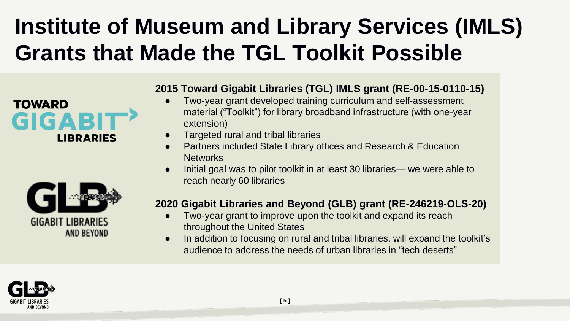### **Institute of Museum and Library Services (IMLS) Grants that Made the TGL Toolkit Possible**





#### **2015 Toward Gigabit Libraries (TGL) IMLS grant (RE-00-15-0110-15)**

- Two-year grant developed training curriculum and self-assessment material ("Toolkit") for library broadband infrastructure (with one-year extension)
- Targeted rural and tribal libraries
- Partners included State Library offices and Research & Education **Networks**
- Initial goal was to pilot toolkit in at least 30 libraries— we were able to reach nearly 60 libraries

#### **2020 Gigabit Libraries and Beyond (GLB) grant (RE-246219-OLS-20)**

- Two-year grant to improve upon the toolkit and expand its reach throughout the United States
- In addition to focusing on rural and tribal libraries, will expand the toolkit's audience to address the needs of urban libraries in "tech deserts"

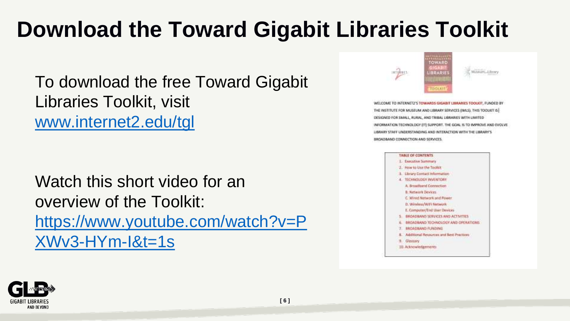### **Download the Toward Gigabit Libraries Toolkit**

To download the free Toward Gigabit Libraries Toolkit, visit [www.internet2.edu/tgl](http://www.internet2.edu/tgl)

Watch this short video for an overview of the Toolkit: [https://www.youtube.com/watch?v=P](https://www.youtube.com/watch?v=PXWv3-HYm-I&t=1s) XWv3-HYm-I&t=1s



WELCOME TO INTERNET2'S TOWARDS GRGABIT LIBRARIES TOOLKIT. FUNDED BY THE INSTITUTE FOR MUSEUM AND LIBRARY SERVICES (IMLS). THIS TOOLKIT IS DESIGNED FOR SMALL, RURAL, AND TRIBAL LIBRARIES WITH UMITED INFORMATION TECHNOLOGY (IT) SUPPORT. THE GOAL IS TO IMPROVE AND EVOLVE. LIBRARY STAFF UNDERSTANDING AND INTERACTION WITH THE LIBRARY'S BROADBAND CONNECTION AND SERVICES.



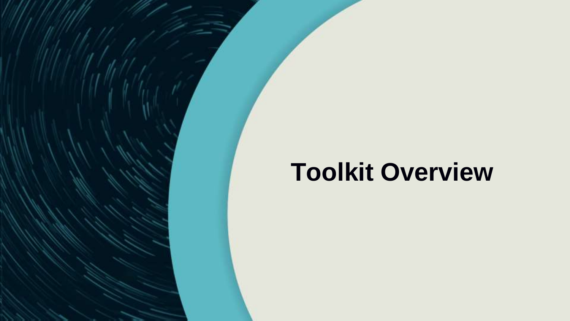# **Toolkit Overview**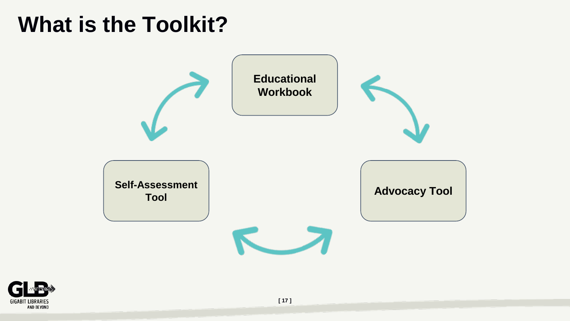#### **What is the Toolkit?**



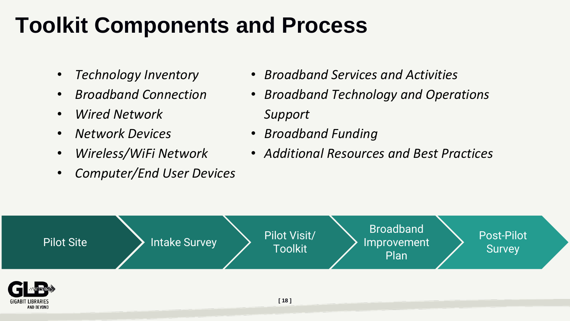#### **Toolkit Components and Process**

- *Technology Inventory*
- *Broadband Connection*
- *Wired Network*
- *Network Devices*
- *Wireless/WiFi Network*
- *Computer/End User Devices*
- *Broadband Services and Activities*
- *Broadband Technology and Operations Support*
- *Broadband Funding*
- *Additional Resources and Best Practices*

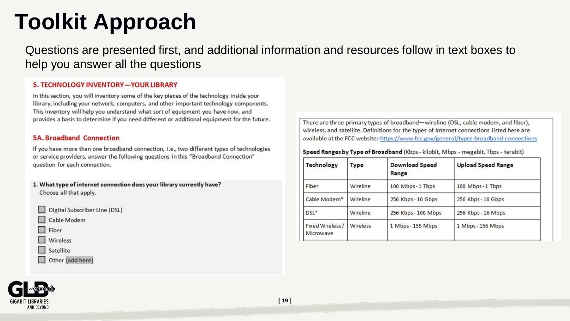### **Toolkit Approach**

Questions are presented first, and additional information and resources follow in text boxes to help you answer all the questions

#### 5. TECHNOLOGY INVENTORY-YOUR LIBRARY

In this section, you will inventory some of the key pieces of the technology inside your library, including your network, computers, and other important technology components. This inventory will help you understand what sort of equipment you have now, and provides a basis to determine if you need different or additional equipment for the future.

#### 5A Broadband Connection

If you have more than one broadband connection, i.e., two different types of technologies or service providers, answer the following questions in this "Broadband Connection" question for each connection.

- 1. What type of internet connection does your library currently have? Choose all that apply.
	- Digital Subscriber Line (DSL)
	- Cable Modem

Fiber

- Wireless
- Satellite
- Other {add here}

There are three primary types of broadband-wireline (DSL, cable modem, and fiber), wireless, and satellite. Definitions for the types of Internet connections listed here are available at the FCC website:-https://www.fcc.gov/general/types-broadband-connections

Speed Ranges by Type of Broadband (Kbps - kilobit, Mbps - megabit, Tbps - terabit)

| Type     | <b>Download Speed</b><br>Range | <b>Upload Speed Range</b><br>100 Mbps - 1 Tbps |  |  |
|----------|--------------------------------|------------------------------------------------|--|--|
| Wireline | 100 Mbps-1 Tbps                |                                                |  |  |
| Wireline | 256 Kbps - 10 Gbps             | 256 Kbps - 10 Gbps                             |  |  |
| Wireline | 256 Kbps - 100 Mbps            | 256 Kbps - 16 Mbps                             |  |  |
| Wireless | 1 Mbps - 155 Mbps              | 1 Mbps - 155 Mbps                              |  |  |
|          |                                |                                                |  |  |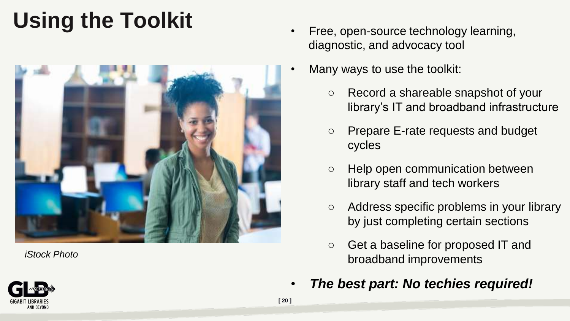# **Using the Toolkit**



*iStock Photo*

- Free, open-source technology learning, diagnostic, and advocacy tool
- Many ways to use the toolkit:
	- Record a shareable snapshot of your library's IT and broadband infrastructure
	- Prepare E-rate requests and budget cycles
	- Help open communication between library staff and tech workers
	- Address specific problems in your library by just completing certain sections
	- Get a baseline for proposed IT and broadband improvements
	- *The best part: No techies required!*

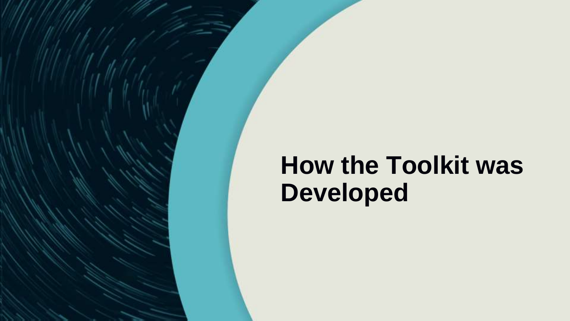# **How the Toolkit was Developed**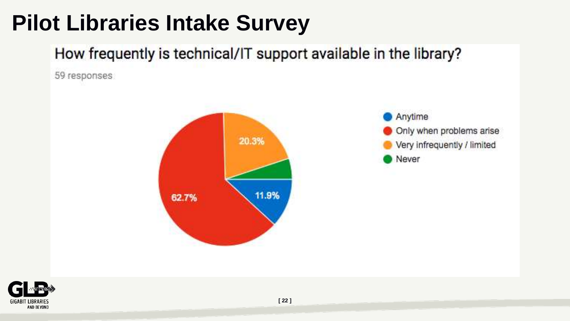### **Pilot Libraries Intake Survey**

#### How frequently is technical/IT support available in the library?

59 responses



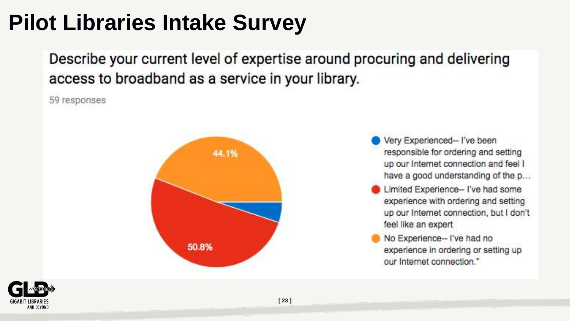#### **Pilot Libraries Intake Survey**

Describe your current level of expertise around procuring and delivering access to broadband as a service in your library.

59 responses



Very Experienced-I've been responsible for ordering and setting up our Internet connection and feel I have a good understanding of the p...

- Limited Experience- I've had some experience with ordering and setting up our Internet connection, but I don't feel like an expert
- No Experience-- I've had no experience in ordering or setting up our Internet connection."

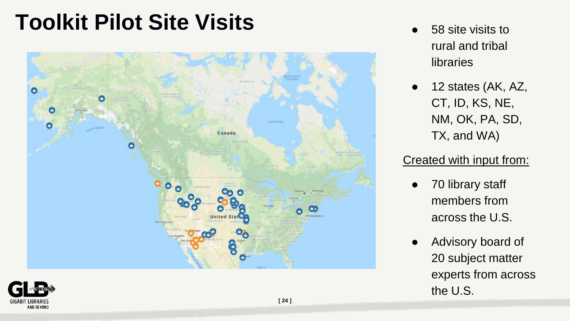#### **Toolkit Pilot Site Visits** <br>
<br> **Toolkit Pilot Site Visits 6**



- rural and tribal libraries
- $\bullet$  12 states (AK, AZ, CT, ID, KS, NE, NM, OK, PA, SD, TX, and WA)

#### Created with input from:

- 70 library staff members from across the U.S.
- Advisory board of 20 subject matter experts from across the U.S.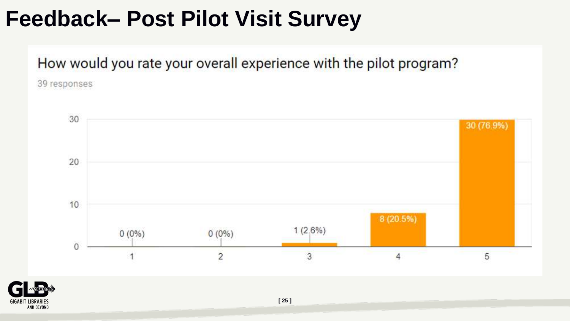#### **Feedback– Post Pilot Visit Survey**

How would you rate your overall experience with the pilot program?

39 responses



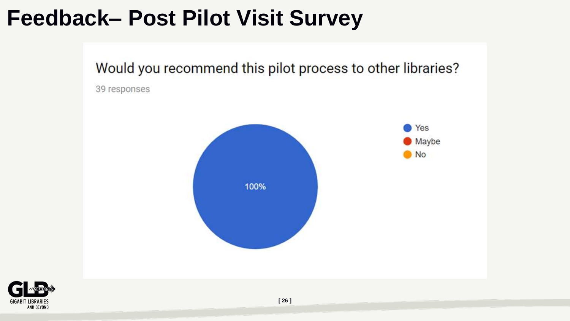#### **Feedback– Post Pilot Visit Survey**

Would you recommend this pilot process to other libraries?

39 responses



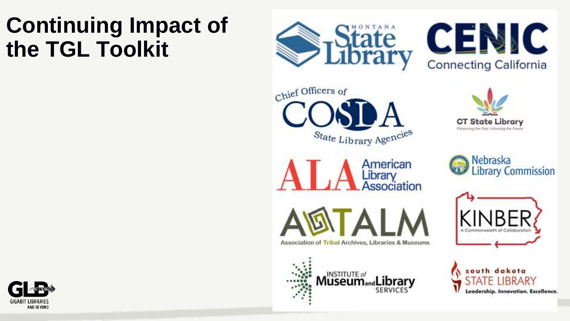### **Continuing Impact of the TGL Toolkit**







Association of Tribal Archives, Libraries & Museums

INSTITUTE of **Museum**<sub>and</sub>L

American

Library<br>Association

SERVICE









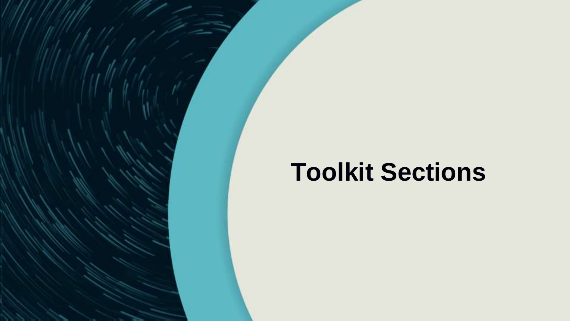# **Toolkit Sections**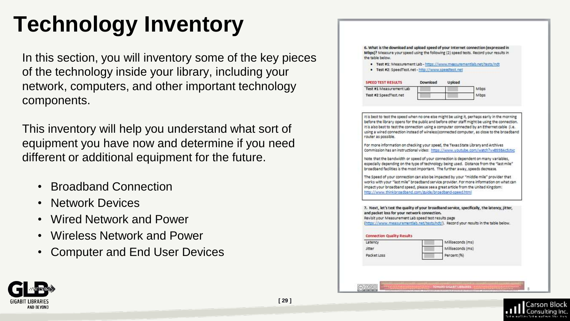# **Technology Inventory**

In this section, you will inventory some of the key pieces of the technology inside your library, including your network, computers, and other important technology components.

This inventory will help you understand what sort of equipment you have now and determine if you need different or additional equipment for the future.

- Broadband Connection
- Network Devices
- Wired Network and Power
- Wireless Network and Power
- Computer and End User Devices

| Mbps)? Measure your speed using the following (2) speed tests. Record your results in<br>the table below.                                                                                                                                                                                                                                                                                                                                                                                                                                                                                                                                                                                                                                                                                                |          |                                  | 6. What is the download and upload speed of your Internet connection (expressed in         |
|----------------------------------------------------------------------------------------------------------------------------------------------------------------------------------------------------------------------------------------------------------------------------------------------------------------------------------------------------------------------------------------------------------------------------------------------------------------------------------------------------------------------------------------------------------------------------------------------------------------------------------------------------------------------------------------------------------------------------------------------------------------------------------------------------------|----------|----------------------------------|--------------------------------------------------------------------------------------------|
| . Test #1: Measurement Lab - https://www.measurementiab.net/tests/ndt<br>. Test #2: SpeedTest.net - http://www.speedtest.net                                                                                                                                                                                                                                                                                                                                                                                                                                                                                                                                                                                                                                                                             |          |                                  |                                                                                            |
|                                                                                                                                                                                                                                                                                                                                                                                                                                                                                                                                                                                                                                                                                                                                                                                                          |          |                                  |                                                                                            |
| <b>SPEED TEST RESULTS</b>                                                                                                                                                                                                                                                                                                                                                                                                                                                                                                                                                                                                                                                                                                                                                                                | Download | Upload                           |                                                                                            |
| Test #1 Measurement Lab                                                                                                                                                                                                                                                                                                                                                                                                                                                                                                                                                                                                                                                                                                                                                                                  |          |                                  | <b>Mbps</b>                                                                                |
| Test #2 SpeedTest.net                                                                                                                                                                                                                                                                                                                                                                                                                                                                                                                                                                                                                                                                                                                                                                                    |          |                                  | Mbos:                                                                                      |
|                                                                                                                                                                                                                                                                                                                                                                                                                                                                                                                                                                                                                                                                                                                                                                                                          |          |                                  |                                                                                            |
| router as possible.<br>For more information on checking your speed, the Texas State Library and Archives<br>Commission has an instructional video: https://www.youtube.com/watch?v=8558Ac5/txc<br>Note that the bandwidth or speed of your connection is dependent on many variables.<br>especially depending on the type of technology being used. Distance from the "last mile"<br>broadband facilities is the most important. The further away, speeds decrease.<br>The Speed of your connection can also be impacted by your "middle mile" provider that<br>works with your "last mile" broadband service provider. For more information on what can<br>impact your broadband speed, please see a great article from the United Kingdom:<br>http://www.thinkbroadband.com/guide/broadband-speed.html |          |                                  | using a wired connection instead of wireless)connected computer, as close to the broadband |
| 7. Next, let's test the quality of your broadband service, specifically, the latency, jitter,<br>and packet loss for your network connection.<br>Revisit your Measurement Lab speed test results page                                                                                                                                                                                                                                                                                                                                                                                                                                                                                                                                                                                                    |          |                                  |                                                                                            |
| (https://www.measurementlab.net/tests/ndt/). Record your results in the table below.                                                                                                                                                                                                                                                                                                                                                                                                                                                                                                                                                                                                                                                                                                                     |          |                                  |                                                                                            |
| <b>Connection Quality Results</b>                                                                                                                                                                                                                                                                                                                                                                                                                                                                                                                                                                                                                                                                                                                                                                        |          |                                  |                                                                                            |
| Latency                                                                                                                                                                                                                                                                                                                                                                                                                                                                                                                                                                                                                                                                                                                                                                                                  |          | Milliseconds (ms)                |                                                                                            |
| <b>Jitter</b><br>Packet Loss                                                                                                                                                                                                                                                                                                                                                                                                                                                                                                                                                                                                                                                                                                                                                                             |          | Milliseconds (ms)<br>Percent (%) |                                                                                            |

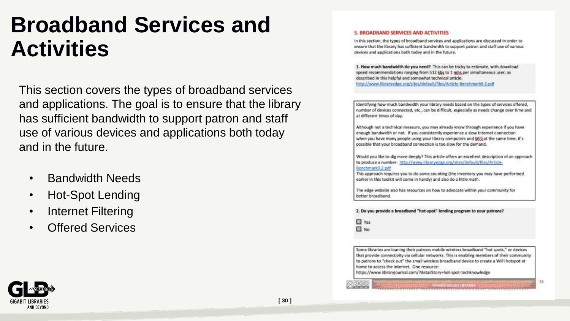#### **Broadband Services and Activities**

This section covers the types of broadband services and applications. The goal is to ensure that the library has sufficient bandwidth to support patron and staff use of various devices and applications both today and in the future.

- Bandwidth Needs
- Hot-Spot Lending
- **Internet Filtering**
- **Offered Services**

#### 5. BROADBAND SERVICES AND ACTIVITIES

In this section, the types of broadband services and applications are discussed in order to ensure that the library has sufficient bandwidth to support patron and staff use of various devices and applications both today and in the future.

1. How much bandwidth do you need? This can be tricky to estimate, with download speed recommendations ranging from 512 kbs to 1 mbs per simultaneous user, as described in this helpful and somewhat technical article: http://www.libraryedge.org/sites/default/files/Article-Benchmark9.2.pdf

Identifying how much bandwidth your library needs based on the types of services offered, number of devices connected, etc., can be difficult, especially as needs change over time and at different times of day.

Although not a technical measure, you may already know through experience if you have enough bandwidth or not. If you consistently experience a slow internet connection when you have many people using your library computers and Williat the same time, it's possible that your broadband connection is too slow for the demand.

Would you like to dig more deeply? This article offers an excellent description of an approach to produce a number: http://www.libraryedge.org/sites/default/files/Article-Benchmark9.2.pdf

This approach requires you to do some counting (the inventory you may have performed earlier in this toolkit will come in handy) and also do a little math.

The edge website also has resources on how to advocate within your community for better broadband

2. Do you provide a broadband "hot-spot" lending program to your patrons?

□ Yes  $\Box$  No

Some libraries are loaning their patrons mobile wireless broadband "hot spots," or devices that provide connectivity via cellular networks. This is enabling members of their community to patrons to "check out" the small wireless broadband device to create a WiFi hotspot at home to access the Internet. One resource:

*PHARO THUANT LIBRARY* 

38

https://www.libraryjournal.com/?detailStory=hot-spot-techknowledge

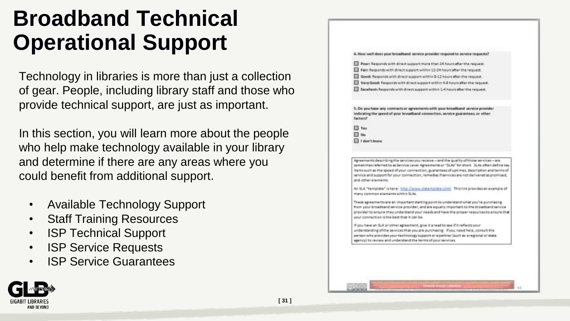#### **Broadband Technical Operational Support**

Technology in libraries is more than just a collection of gear. People, including library staff and those who provide technical support, are just as important.

In this section, you will learn more about the people who help make technology available in your library and determine if there are any areas where you could benefit from additional support.

**[ 31 ]**

- Available Technology Support
- **Staff Training Resources**
- ISP Technical Support
- ISP Service Requests
- **ISP Service Guarantees**



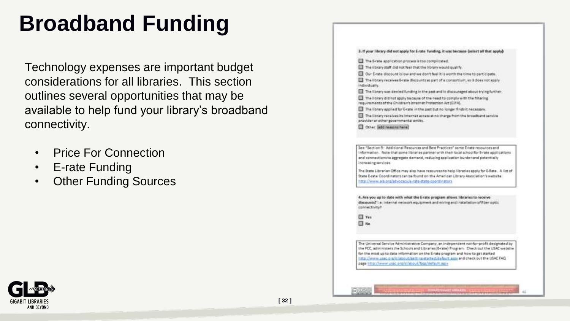### **Broadband Funding**

Technology expenses are important budget considerations for all libraries. This section outlines several opportunities that may be available to help fund your library's broadband connectivity.

- Price For Connection
- E-rate Funding
- Other Funding Sources

|                                        | 3. If your library did not apply for E-rate funding, it was because (select all that apply):                                                                                                                                                                            |
|----------------------------------------|-------------------------------------------------------------------------------------------------------------------------------------------------------------------------------------------------------------------------------------------------------------------------|
|                                        | The S-site application process is too complicated.                                                                                                                                                                                                                      |
|                                        | The library staff did not feel that the library would qualify.                                                                                                                                                                                                          |
|                                        | Our Erate discount is low and we don't feel it is worth the time to participate.                                                                                                                                                                                        |
| individually.                          | The library receives 5-rate discounts as part of a consortium, so it does not apply                                                                                                                                                                                     |
|                                        | The library was denied funding in the past and is discouraged about trying further.                                                                                                                                                                                     |
|                                        | The library did not apply because of the need to comply with the filtering<br>requirements of the Children's Internet Protection Act (CIFA).                                                                                                                            |
|                                        | The library applied for E-rate in the past but no longer finds it necessary.                                                                                                                                                                                            |
| provider or other governmental entity. | The library receives its internet access at no charge from the broadband service                                                                                                                                                                                        |
| Cther: add ressons here!               |                                                                                                                                                                                                                                                                         |
|                                        | See "Section 9: Additional Resources and Best Practices" some Erate resources and<br>information. Note that some libraries dartner with their local schoolfor E-rate applications<br>and connections to aggregate demand, reducing application burden and potentially   |
| increasing services.                   |                                                                                                                                                                                                                                                                         |
|                                        | The State Librarian Office may also have resources to help libraries apply for G-Rate. A list of<br>State E-rate Coordinators can be found on the American Library Association's website                                                                                |
|                                        | http://www.ala.org/atvocacy/e-rate-state-coordinators                                                                                                                                                                                                                   |
|                                        | 4. Are you up to date with what the Evate program allows libraries to receive                                                                                                                                                                                           |
| connectivity?                          | discounts? i.e. internal network equipment and wiring and installation of fiber optic                                                                                                                                                                                   |
| Ves.                                   |                                                                                                                                                                                                                                                                         |
| $\exists$ No.                          |                                                                                                                                                                                                                                                                         |
|                                        |                                                                                                                                                                                                                                                                         |
|                                        | The Universal Service Administrative Company, an independent not for-profit designated by                                                                                                                                                                               |
|                                        | the FCC, administerathe School cand Litraries (E-rate) Program. Check out the USAC website<br>for the most up to data information on the E-rate program and how to get started<br>http://www.uspc.org/sl/about/astting-started/default.asss and check out the USAC FAQ: |
|                                        | page intro://www.usac.org/st/about/faqs/default.aggs                                                                                                                                                                                                                    |

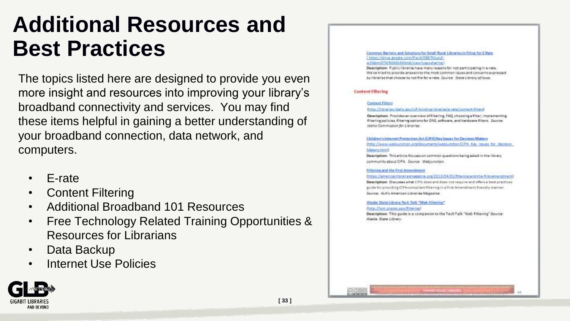#### **Additional Resources and Best Practices**

The topics listed here are designed to provide you even more insight and resources into improving your library's broadband connectivity and services. You may find these items helpful in gaining a better understanding of your broadband connection, data network, and computers.

- E-rate
- Content Filtering
- Additional Broadband 101 Resources
- Free Technology Related Training Opportunities & Resources for Librarians
- Data Backup
- Internet Use Policies



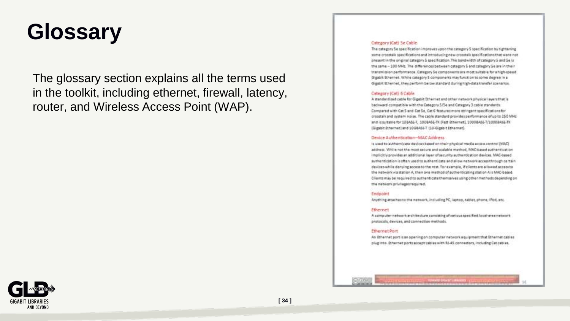#### **Glossary**

The glossary section explains all the terms used in the toolkit, including ethernet, firewall, latency, router, and Wireless Access Point (WAP).

#### Category (Cat) Se Cable

The category 5e specification improves upon the category 5 specification by tightening some creatisk specifications and introducing new creatisk specifications that were not present in the original category 5 specification. The bandwidth of category 5 and 5e is the same - 100 MHz. The differences between category 5 and category 5 e are in their transmission performance. Category 5e components are most suitable for a high-speed Gigablit Ethernet. While category 5 components may function to some degree in a Gigabit Ethernet, they perform below standard during high-data transfer scenarios.

#### Category (Cat) 6 Cable

A standardized cable for Gigatit Ethernet and other network physical layers that is backward compatible with the Category 5/5e and Category 3 cable standards. Compared with Cat 5 and Cat 54. Cat 6 features more stringent specifications for crosstalk and system hoise. The cable standard provides performance of up to 250 MHz and issuitable for 10BASE-T, 100BASE-TX (Fast Ethernet), 1000BASE-T/1000BASE-TX (Gigabit Ethernet) and 10GBASE-T (10-Gigabit Ethernet).

#### Device Authentication-MAC Address

Is used to authenticate devices based on their physical media access control (MAC) address. While not the most secure and scalable method. MAC-based suthertication implicitly provides an additional layer of security authentication devices. MAC-based authentication is eften used to authenticate and allow network access through certain devices while deriving access to the rest. For example, if clients are allowed access to the network via station A, then one method of authenticating station A is MAC-based. Clients may be required to authenticate the maskes using other methods depending on the network privileges required.

#### Endpoint

Anything attaches to the network, including PC, laptop, tablet, phone, iPod, etc.

#### **Ethernet**

A computer naturals architectura consisting of various specified local-area naturals protocols, devices, and connection methods.

#### Ethernet Port

An Ethernet port is an opening on computer network equipment that Ethernet cables plugints. Ethernet ports accept cables with RJ-45 connectors, including Cat cables.

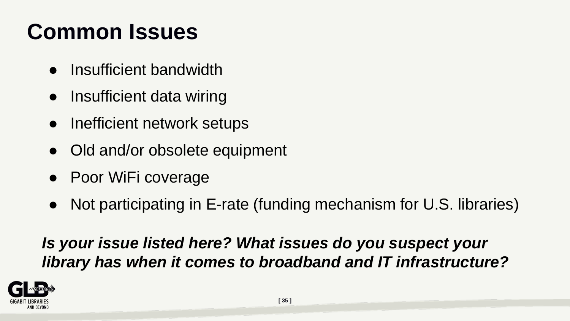# **Common Issues**

- Insufficient bandwidth
- Insufficient data wiring
- Inefficient network setups
- Old and/or obsolete equipment
- Poor WiFi coverage
- Not participating in E-rate (funding mechanism for U.S. libraries)

*Is your issue listed here? What issues do you suspect your library has when it comes to broadband and IT infrastructure?* 

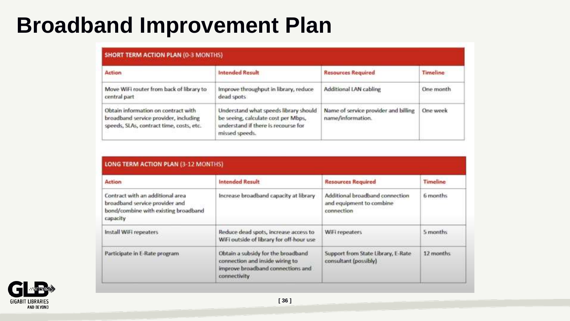#### **Broadband Improvement Plan**

| Action                                                                                                                   | <b>Intended Result</b>                                                                                                                | <b>Resources Required</b>                                 | Timeline<br>One month<br>One week |  |
|--------------------------------------------------------------------------------------------------------------------------|---------------------------------------------------------------------------------------------------------------------------------------|-----------------------------------------------------------|-----------------------------------|--|
| Move WiFi router from back of library to<br>central part                                                                 | Improve throughput in library, reduce<br>dead spots                                                                                   | Additional LAN cabling                                    |                                   |  |
| Obtain information on contract with<br>broadband service provider, including<br>speeds, SLAs, contract time, costs, etc. | Understand what speeds library should<br>be seeing, calculate cost per Mbps,<br>understand if there is recourse for<br>missed speeds. | Name of service provider and billing<br>name/information. |                                   |  |

| Action                                                                                                                 | <b>Intended Result</b>                                                                                                     | <b>Resources Required</b>                                                 | Timeline                                  |  |
|------------------------------------------------------------------------------------------------------------------------|----------------------------------------------------------------------------------------------------------------------------|---------------------------------------------------------------------------|-------------------------------------------|--|
| Contract with an additional area<br>broadband service provider and<br>bond/combine with existing broadband<br>capacity | Increase broadband capacity at library                                                                                     | Additional broadband connection<br>and equipment to combine<br>connection | 6 months<br>5 months<br><b>DAY MARKED</b> |  |
| Install WiFi repeaters                                                                                                 | Reduce dead spots, increase access to<br>WiFi outside of library for off-hour use                                          | WiFi repeaters                                                            |                                           |  |
| Participate in E-Rate program.                                                                                         | Obtain a subsidy for the broadband<br>connection and inside wiring to<br>improve broadband connections and<br>connectivity | Support from State Library, E-Rate.<br>consultant (possibly)              | 12 months                                 |  |

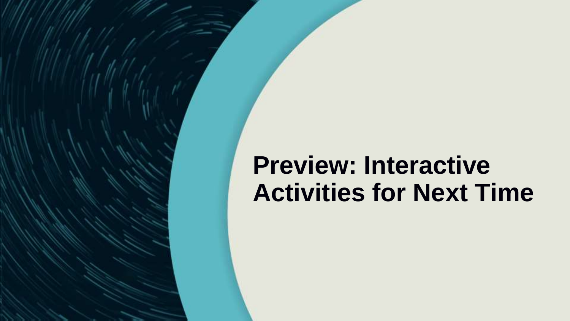### **Preview: Interactive Activities for Next Time**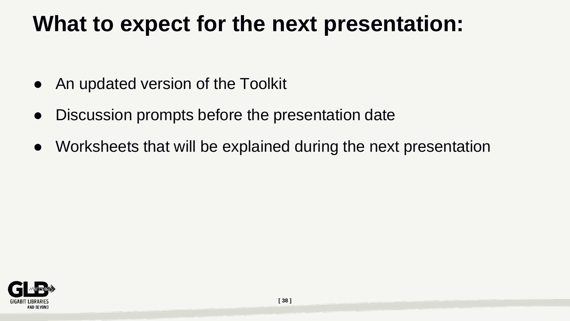#### **What to expect for the next presentation:**

- An updated version of the Toolkit
- Discussion prompts before the presentation date
- Worksheets that will be explained during the next presentation

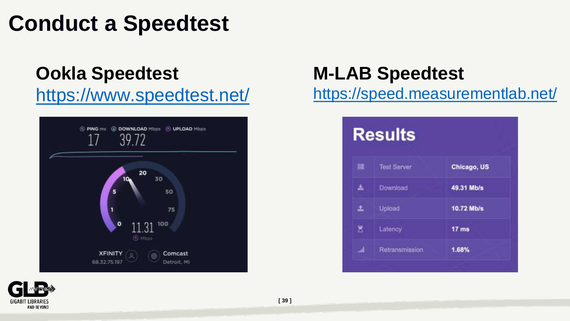#### **Conduct a Speedtest**

#### **Ookla Speedtest**

#### <https://www.speedtest.net/>



#### **M-LAB Speedtest**

<https://speed.measurementlab.net/>



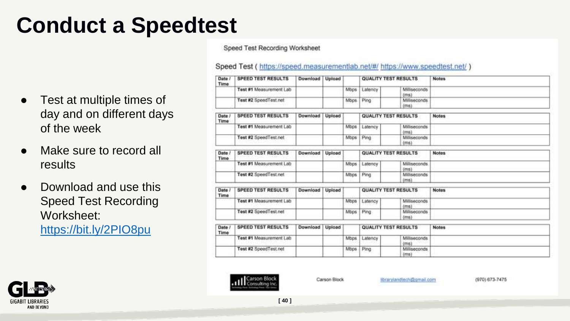# **Conduct a Speedtest**

- Test at multiple times of day and on different days of the week
- Make sure to record all results
- Download and use this Speed Test Recording Worksheet: <https://bit.ly/2PIO8pu>

Speed Test Recording Worksheet

Speed Test (https://speed.measurementlab.net/#/ https://www.speedtest.net/)

| Date /<br>Time        | <b>SPEED TEST RESULTS</b> | Download | Upload |             |                             | QUALITY TEST RESULTS             | <b>Notes</b> |
|-----------------------|---------------------------|----------|--------|-------------|-----------------------------|----------------------------------|--------------|
|                       | Test #1 Measurement Lab   |          |        | Mbps        | Latency                     | <b>Milliseconds</b><br>(ms)      |              |
|                       | Test #2 SpeedTest.net     |          |        | Mbps        | Ping                        | Milliseconds<br>(ms)             |              |
| Date /<br>Time        | <b>SPEED TEST RESULTS</b> | Download | Upload |             |                             | QUALITY TEST RESULTS             | <b>Notes</b> |
|                       | Test #1 Measurement Lab   |          |        | Mbps        | Latency                     | Milliseconds<br>dms1             |              |
|                       | Test #2 SpeedTest.net     |          |        | Mbps        | Ping                        | Miliseconds<br>(m <sub>s</sub> ) |              |
| Date /<br><b>Time</b> | <b>SPEED TEST RESULTS</b> | Download | Upload |             | <b>QUALITY TEST RESULTS</b> |                                  | <b>Notes</b> |
|                       | Test #1 Measurement Lab   |          |        | Mbps        | Latency                     | Miliseconds<br>(m <sub>5</sub> ) |              |
|                       | Test #2 SpeedTest.net     |          |        | <b>Mbps</b> | Ping                        | Miliseconds<br>(ms)              |              |
| Date /<br>Time        | <b>SPEED TEST RESULTS</b> | Download | Upload |             | QUALITY TEST RESULTS        |                                  | <b>Notes</b> |
|                       | Test #1 Measurement Lab   |          |        | Mbps        | Latency                     | Milliseconds<br>(ms)             |              |
|                       | Test #2 SpeedTest.net     |          |        | <b>Mbps</b> | Ping                        | <b>Miliseconds</b><br>(ms)       |              |
| Date /<br>Time        | <b>SPEED TEST RESULTS</b> | Download | Upload |             | QUALITY TEST RESULTS        |                                  | <b>Notes</b> |
|                       | Test #1 Measurement Lab   |          |        | Mbps        | Latency                     | Milliseconds<br>(ms)             |              |
|                       | Test #2 SpeedTest.net     |          |        | Mbps        | Ping                        | Miliseconds<br>(ms)              |              |



Carson Block

librarylandtech@gmail.com

(970) 673-7475

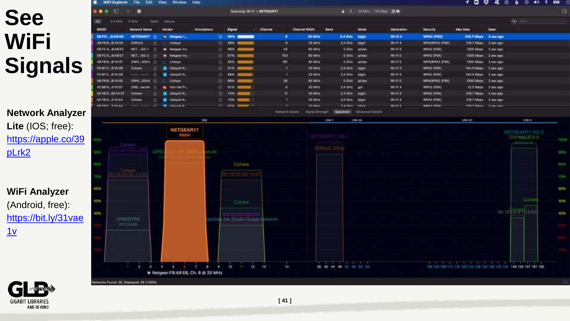#### **See WiFi Signals**

**Network Analyzer Lite** (IOS; free): [https://apple.co/39](https://apple.co/39pLrk2) pLrk2

**WiFi Analyzer**  (Android, free): [https://bit.ly/31vae](https://bit.ly/31vae1v)  $1v$ 



- 60

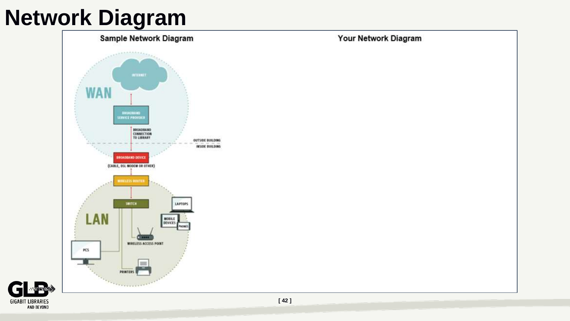### **Network Diagram**



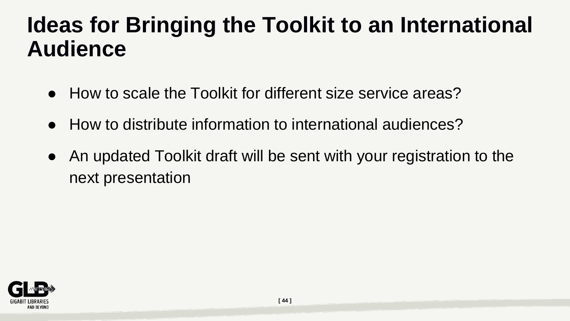#### **Ideas for Bringing the Toolkit to an International Audience**

- How to scale the Toolkit for different size service areas?
- How to distribute information to international audiences?
- An updated Toolkit draft will be sent with your registration to the next presentation

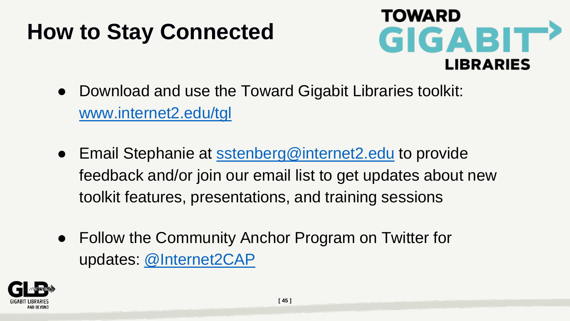### **How to Stay Connected**



- Download and use the Toward Gigabit Libraries toolkit: [www.internet2.edu/tgl](http://www.internet2.edu/tgl)
- Email Stephanie at [sstenberg@internet2.edu](mailto:sstenberg@internet2.edu) to provide feedback and/or join our email list to get updates about new toolkit features, presentations, and training sessions
- Follow the Community Anchor Program on Twitter for updates: [@Internet2CAP](https://twitter.com/internet2CAP)